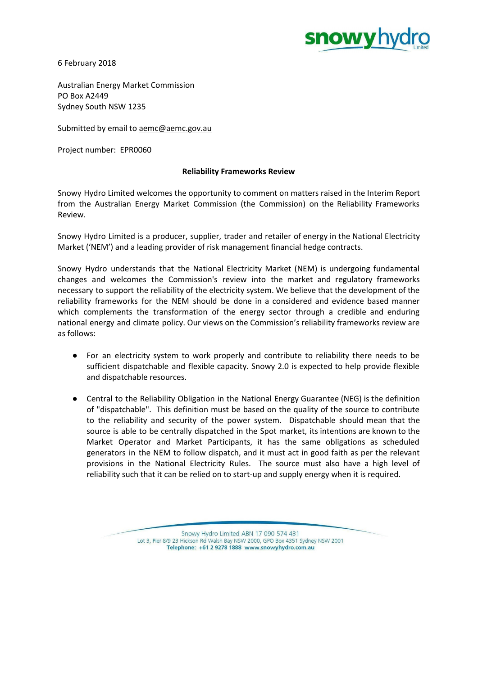

6 February 2018

Australian Energy Market Commission PO Box A2449 Sydney South NSW 1235

Submitted by email to [aemc@aemc.gov.au](mailto:aemc@aemc.gov.au)

Project number: EPR0060

# **Reliability Frameworks Review**

Snowy Hydro Limited welcomes the opportunity to comment on matters raised in the Interim Report from the Australian Energy Market Commission (the Commission) on the Reliability Frameworks Review.

Snowy Hydro Limited is a producer, supplier, trader and retailer of energy in the National Electricity Market ('NEM') and a leading provider of risk management financial hedge contracts.

Snowy Hydro understands that the National Electricity Market (NEM) is undergoing fundamental changes and welcomes the Commission's review into the market and regulatory frameworks necessary to support the reliability of the electricity system. We believe that the development of the reliability frameworks for the NEM should be done in a considered and evidence based manner which complements the transformation of the energy sector through a credible and enduring national energy and climate policy. Our views on the Commission's reliability frameworks review are as follows:

- For an electricity system to work properly and contribute to reliability there needs to be sufficient dispatchable and flexible capacity. Snowy 2.0 is expected to help provide flexible and dispatchable resources.
- Central to the Reliability Obligation in the National Energy Guarantee (NEG) is the definition of "dispatchable". This definition must be based on the quality of the source to contribute to the reliability and security of the power system. Dispatchable should mean that the source is able to be centrally dispatched in the Spot market, its intentions are known to the Market Operator and Market Participants, it has the same obligations as scheduled generators in the NEM to follow dispatch, and it must act in good faith as per the relevant provisions in the National Electricity Rules. The source must also have a high level of reliability such that it can be relied on to start-up and supply energy when it is required.

Snowy Hydro Limited ABN 17 090 574 431 Lot 3, Pier 8/9 23 Hickson Rd Walsh Bay NSW 2000, GPO Box 4351 Sydney NSW 2001 Telephone: +61 2 9278 1888 www.snowyhydro.com.au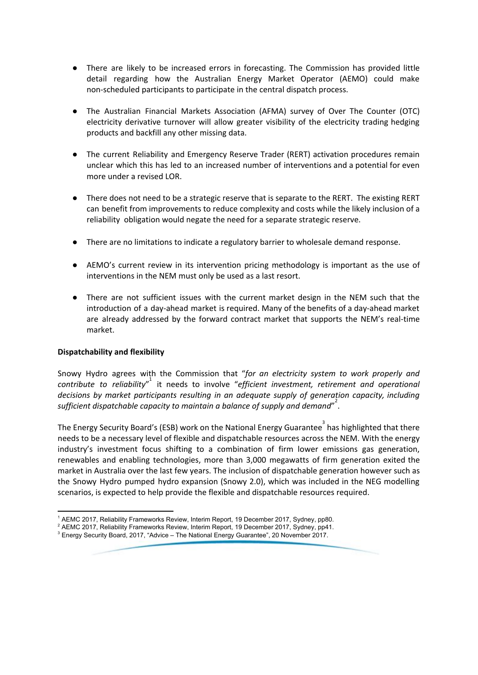- There are likely to be increased errors in forecasting. The Commission has provided little detail regarding how the Australian Energy Market Operator (AEMO) could make non-scheduled participants to participate in the central dispatch process.
- The Australian Financial Markets Association (AFMA) survey of Over The Counter (OTC) electricity derivative turnover will allow greater visibility of the electricity trading hedging products and backfill any other missing data.
- The current Reliability and Emergency Reserve Trader (RERT) activation procedures remain unclear which this has led to an increased number of interventions and a potential for even more under a revised LOR.
- There does not need to be a strategic reserve that is separate to the RERT. The existing RERT can benefit from improvements to reduce complexity and costs while the likely inclusion of a reliability obligation would negate the need for a separate strategic reserve.
- There are no limitations to indicate a regulatory barrier to wholesale demand response.
- AEMO's current review in its intervention pricing methodology is important as the use of interventions in the NEM must only be used as a last resort.
- There are not sufficient issues with the current market design in the NEM such that the introduction of a day-ahead market is required. Many of the benefits of a day-ahead market are already addressed by the forward contract market that supports the NEM's real-time market.

# **Dispatchability and flexibility**

Snowy Hydro agrees with the Commission that "*for an electricity system to work properly and contribute to reliability*" it needs to involve "*efficient investment, retirement and operational* 1 *decisions by market participants resulting in an adequate supply of generation capacity, including sufficient dispatchable capacity to maintain a balance of supply and demand*" . 2

The Energy Security Board's (ESB) work on the National Energy Guarantee<sup>3</sup> has highlighted that there needs to be a necessary level of flexible and dispatchable resources across the NEM. With the energy industry's investment focus shifting to a combination of firm lower emissions gas generation, renewables and enabling technologies, more than 3,000 megawatts of firm generation exited the market in Australia over the last few years. The inclusion of dispatchable generation however such as the Snowy Hydro pumped hydro expansion (Snowy 2.0), which was included in the NEG modelling scenarios, is expected to help provide the flexible and dispatchable resources required.

<sup>&</sup>lt;sup>1</sup> AEMC 2017, Reliability Frameworks Review, Interim Report, 19 December 2017, Sydney, pp80.

 $^2$  AEMC 2017, Reliability Frameworks Review, Interim Report, 19 December 2017, Sydney, pp41.

<sup>3</sup> Energy Security Board, 2017, "Advice – The National Energy Guarantee", 20 November 2017.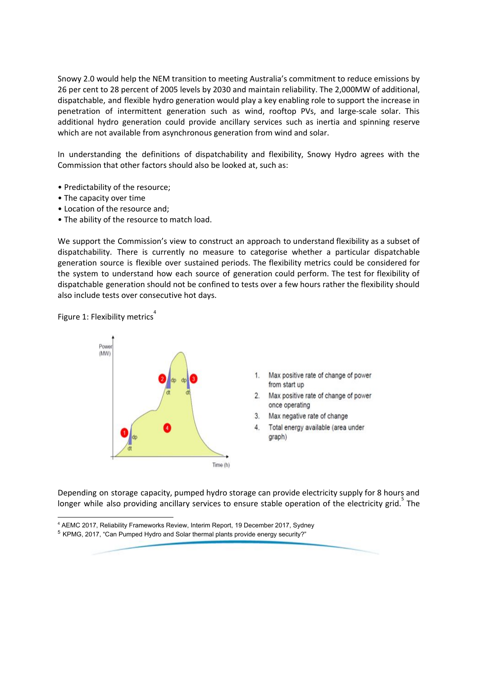Snowy 2.0 would help the NEM transition to meeting Australia's commitment to reduce emissions by 26 per cent to 28 percent of 2005 levels by 2030 and maintain reliability. The 2,000MW of additional, dispatchable, and flexible hydro generation would play a key enabling role to support the increase in penetration of intermittent generation such as wind, rooftop PVs, and large-scale solar. This additional hydro generation could provide ancillary services such as inertia and spinning reserve which are not available from asynchronous generation from wind and solar.

In understanding the definitions of dispatchability and flexibility, Snowy Hydro agrees with the Commission that other factors should also be looked at, such as:

- Predictability of the resource;
- The capacity over time
- Location of the resource and;
- The ability of the resource to match load.

We support the Commission's view to construct an approach to understand flexibility as a subset of dispatchability. There is currently no measure to categorise whether a particular dispatchable generation source is flexible over sustained periods. The flexibility metrics could be considered for the system to understand how each source of generation could perform. The test for flexibility of dispatchable generation should not be confined to tests over a few hours rather the flexibility should also include tests over consecutive hot days.

Figure 1: Flexibility metrics<sup>4</sup>



- Max positive rate of change of power from start up
- Max positive rate of change of power once operating
- Max negative rate of change  $3<sup>1</sup>$
- Total energy available (area under graph)

Depending on storage capacity, pumped hydro storage can provide electricity supply for 8 hours and longer while also providing ancillary services to ensure stable operation of the electricity grid. The

<sup>4</sup> AEMC 2017, Reliability Frameworks Review, Interim Report, 19 December 2017, Sydney

 $5$  KPMG, 2017, "Can Pumped Hydro and Solar thermal plants provide energy security?"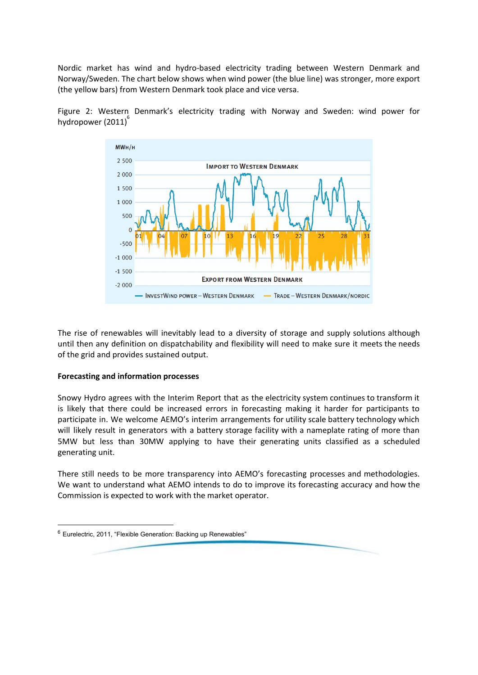Nordic market has wind and hydro-based electricity trading between Western Denmark and Norway/Sweden. The chart below shows when wind power (the blue line) was stronger, more export (the yellow bars) from Western Denmark took place and vice versa.





The rise of renewables will inevitably lead to a diversity of storage and supply solutions although until then any definition on dispatchability and flexibility will need to make sure it meets the needs of the grid and provides sustained output.

# **Forecasting and information processes**

Snowy Hydro agrees with the Interim Report that as the electricity system continues to transform it is likely that there could be increased errors in forecasting making it harder for participants to participate in. We welcome AEMO's interim arrangements for utility scale battery technology which will likely result in generators with a battery storage facility with a nameplate rating of more than 5MW but less than 30MW applying to have their generating units classified as a scheduled generating unit.

There still needs to be more transparency into AEMO's forecasting processes and methodologies. We want to understand what AEMO intends to do to improve its forecasting accuracy and how the Commission is expected to work with the market operator.

 $6$  Eurelectric, 2011, "Flexible Generation: Backing up Renewables"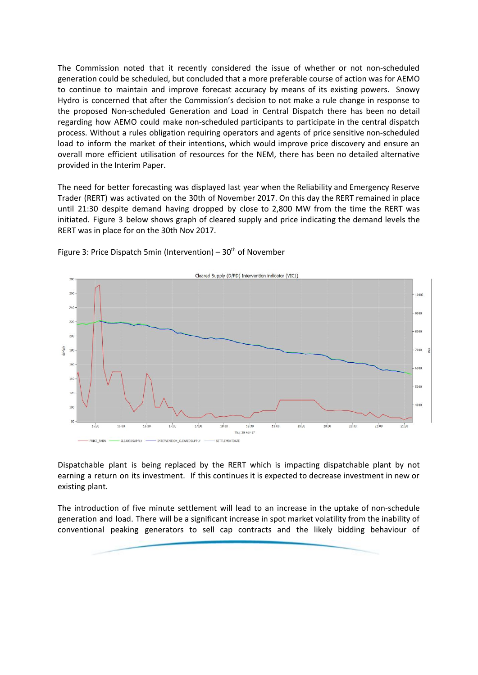The Commission noted that it recently considered the issue of whether or not non-scheduled generation could be scheduled, but concluded that a more preferable course of action was for AEMO to continue to maintain and improve forecast accuracy by means of its existing powers. Snowy Hydro is concerned that after the Commission's decision to not make a rule change in response to the proposed Non-scheduled Generation and Load in Central Dispatch there has been no detail regarding how AEMO could make non-scheduled participants to participate in the central dispatch process. Without a rules obligation requiring operators and agents of price sensitive non-scheduled load to inform the market of their intentions, which would improve price discovery and ensure an overall more efficient utilisation of resources for the NEM, there has been no detailed alternative provided in the Interim Paper.

The need for better forecasting was displayed last year when the Reliability and Emergency Reserve Trader (RERT) was activated on the 30th of November 2017. On this day the RERT remained in place until 21:30 despite demand having dropped by close to 2,800 MW from the time the RERT was initiated. Figure 3 below shows graph of cleared supply and price indicating the demand levels the RERT was in place for on the 30th Nov 2017.



Figure 3: Price Dispatch 5min (Intervention) – 30<sup>th</sup> of November

Dispatchable plant is being replaced by the RERT which is impacting dispatchable plant by not earning a return on its investment. If this continues it is expected to decrease investment in new or existing plant.

The introduction of five minute settlement will lead to an increase in the uptake of non-schedule generation and load. There will be a significant increase in spot market volatility from the inability of conventional peaking generators to sell cap contracts and the likely bidding behaviour of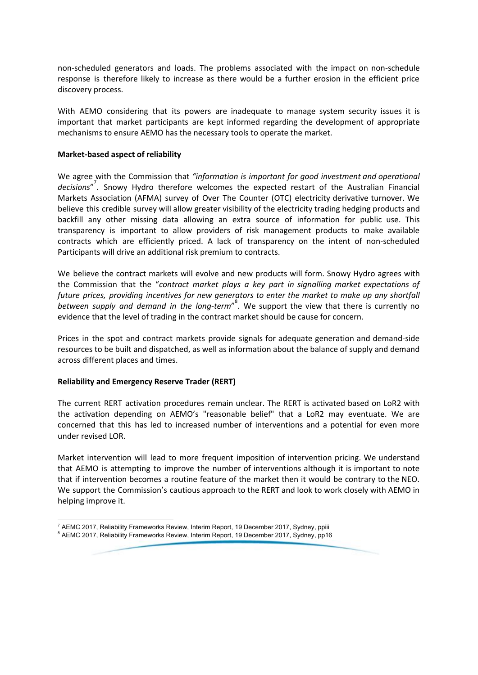non-scheduled generators and loads. The problems associated with the impact on non-schedule response is therefore likely to increase as there would be a further erosion in the efficient price discovery process.

With AEMO considering that its powers are inadequate to manage system security issues it is important that market participants are kept informed regarding the development of appropriate mechanisms to ensure AEMO has the necessary tools to operate the market.

# **Market-based aspect of reliability**

We agree with the Commission that *"information is important for good investment and operational* decisions"<sup>7</sup>. Snowy Hydro therefore welcomes the expected restart of the Australian Financial Markets Association (AFMA) survey of Over The Counter (OTC) electricity derivative turnover. We believe this credible survey will allow greater visibility of the electricity trading hedging products and backfill any other missing data allowing an extra source of information for public use. This transparency is important to allow providers of risk management products to make available contracts which are efficiently priced. A lack of transparency on the intent of non-scheduled Participants will drive an additional risk premium to contracts.

We believe the contract markets will evolve and new products will form. Snowy Hydro agrees with the Commission that the "*contract market plays a key part in signalling market expectations of future prices, providing incentives for new generators to enter the market to make up any shortfall between supply and demand in the long-term*" . We support the view that there is currently no 8 evidence that the level of trading in the contract market should be cause for concern.

Prices in the spot and contract markets provide signals for adequate generation and demand-side resources to be built and dispatched, as well as information about the balance of supply and demand across different places and times.

### **Reliability and Emergency Reserve Trader (RERT)**

The current RERT activation procedures remain unclear. The RERT is activated based on LoR2 with the activation depending on AEMO's "reasonable belief" that a LoR2 may eventuate. We are concerned that this has led to increased number of interventions and a potential for even more under revised LOR.

Market intervention will lead to more frequent imposition of intervention pricing. We understand that AEMO is attempting to improve the number of interventions although it is important to note that if intervention becomes a routine feature of the market then it would be contrary to the NEO. We support the Commission's cautious approach to the RERT and look to work closely with AEMO in helping improve it.

 $^7$  AEMC 2017, Reliability Frameworks Review, Interim Report, 19 December 2017, Sydney, ppiii <sup>8</sup> AEMC 2017, Reliability Frameworks Review, Interim Report, 19 December 2017, Sydney, pp16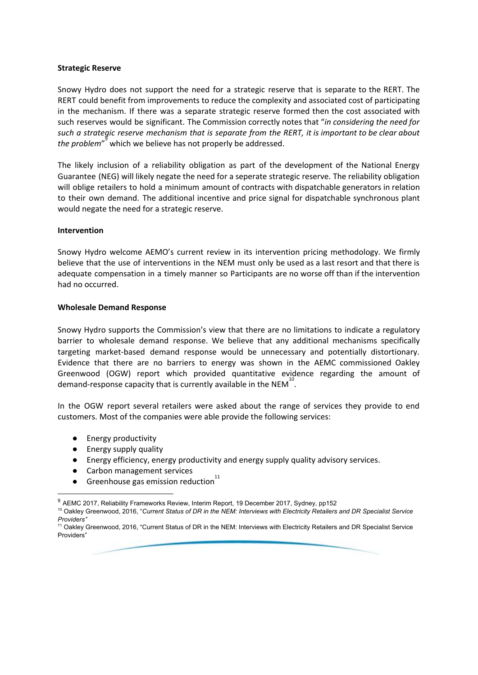### **Strategic Reserve**

Snowy Hydro does not support the need for a strategic reserve that is separate to the RERT. The RERT could benefit from improvements to reduce the complexity and associated cost of participating in the mechanism. If there was a separate strategic reserve formed then the cost associated with such reserves would be significant. The Commission correctly notes that "*in considering the need for* such a strategic reserve mechanism that is separate from the RERT, it is important to be clear about the *problem*<sup>"</sup> which we believe has not properly be addressed.

The likely inclusion of a reliability obligation as part of the development of the National Energy Guarantee (NEG) will likely negate the need for a seperate strategic reserve. The reliability obligation will oblige retailers to hold a minimum amount of contracts with dispatchable generators in relation to their own demand. The additional incentive and price signal for dispatchable synchronous plant would negate the need for a strategic reserve.

### **Intervention**

Snowy Hydro welcome AEMO's current review in its intervention pricing methodology. We firmly believe that the use of interventions in the NEM must only be used as a last resort and that there is adequate compensation in a timely manner so Participants are no worse off than if the intervention had no occurred.

### **Wholesale Demand Response**

Snowy Hydro supports the Commission's view that there are no limitations to indicate a regulatory barrier to wholesale demand response. We believe that any additional mechanisms specifically targeting market-based demand response would be unnecessary and potentially distortionary. Evidence that there are no barriers to energy was shown in the AEMC commissioned Oakley Greenwood (OGW) report which provided quantitative evidence regarding the amount of demand-response capacity that is currently available in the NEM $^{10}$ .

In the OGW report several retailers were asked about the range of services they provide to end customers. Most of the companies were able provide the following services:

- Energy productivity
- Energy supply quality
- Energy efficiency, energy productivity and energy supply quality advisory services.
- Carbon management services
- Greenhouse gas emission reduction 11

<sup>&</sup>lt;sup>9</sup> AEMC 2017, Reliability Frameworks Review, Interim Report, 19 December 2017, Sydney, pp152

<sup>&</sup>lt;sup>10</sup> Oakley Greenwood, 2016, "Current Status of DR in the NEM: Interviews with Electricity Retailers and DR Specialist Service *Providers"*

<sup>&</sup>lt;sup>11</sup> Oakley Greenwood, 2016, "Current Status of DR in the NEM: Interviews with Electricity Retailers and DR Specialist Service Providers"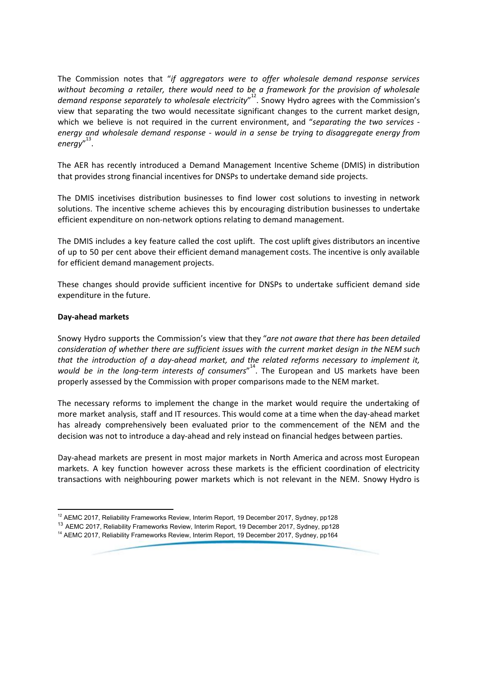The Commission notes that "*if aggregators were to offer wholesale demand response services without becoming a retailer, there would need to be a framework for the provision of wholesale* demand *response separately to wholesale electricity*<sup>"2</sup>. Snowy Hydro agrees with the Commission's view that separating the two would necessitate significant changes to the current market design, which we believe is not required in the current environment, and "*separating the two services energy and wholesale demand response - would in a sense be trying to disaggregate energy from* energy"<sup>13</sup>.

The AER has recently introduced a Demand Management Incentive Scheme (DMIS) in distribution that provides strong financial incentives for DNSPs to undertake demand side projects.

The DMIS incetivises distribution businesses to find lower cost solutions to investing in network solutions. The incentive scheme achieves this by encouraging distribution businesses to undertake efficient expenditure on non-network options relating to demand management.

The DMIS includes a key feature called the cost uplift. The cost uplift gives distributors an incentive of up to 50 per cent above their efficient demand management costs. The incentive is only available for efficient demand management projects.

These changes should provide sufficient incentive for DNSPs to undertake sufficient demand side expenditure in the future.

### **Day-ahead markets**

Snowy Hydro supports the Commission's view that they "*are not aware that there has been detailed consideration of whether there are sufficient issues with the current market design in the NEM such that the introduction of a day-ahead market, and the related reforms necessary to implement it,* would be in the long-term interests of consumers<sup>"14</sup>. The European and US markets have been properly assessed by the Commission with proper comparisons made to the NEM market.

The necessary reforms to implement the change in the market would require the undertaking of more market analysis, staff and IT resources. This would come at a time when the day-ahead market has already comprehensively been evaluated prior to the commencement of the NEM and the decision was not to introduce a day-ahead and rely instead on financial hedges between parties.

Day-ahead markets are present in most major markets in North America and across most European markets. A key function however across these markets is the efficient coordination of electricity transactions with neighbouring power markets which is not relevant in the NEM. Snowy Hydro is

<sup>&</sup>lt;sup>12</sup> AEMC 2017, Reliability Frameworks Review, Interim Report, 19 December 2017, Sydney, pp128

<sup>&</sup>lt;sup>13</sup> AEMC 2017, Reliability Frameworks Review, Interim Report, 19 December 2017, Sydney, pp128

<sup>&</sup>lt;sup>14</sup> AEMC 2017, Reliability Frameworks Review, Interim Report, 19 December 2017, Sydney, pp164